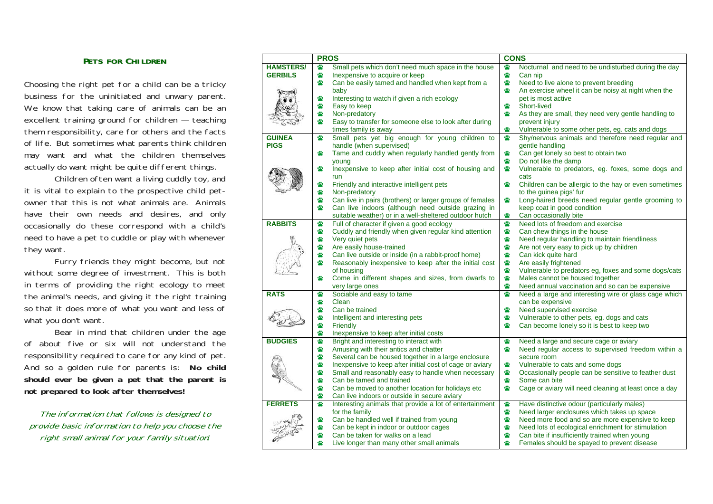#### **PETS FOR CHILDREN**

Choosing the right pet for a child can be a tricky business for the uninitiated and unwary parent. We know that taking care of animals can be an excellent training ground for children — teaching them responsibility, care for others and the facts of life. But sometimes what parents think children may want and what the children themselves actually do want might be quite different things.

Children often want a living cuddly toy, and it is vital to explain to the prospective child petowner that this is not what animals are. Animals have their own needs and desires, and only occasionally do these correspond with a child's need to have a pet to cuddle or play with whenever they want.

Furry friends they might become, but not without some degree of investment. This is both in terms of providing the right ecology to meet the animal's needs, and giving it the right training so that it does more of what you want and less of what you don't want.

Bear in mind that children under the age of about five or six will not understand the responsibility required to care for any kind of pet. And so a golden rule for parents is: **No child should ever be given a pet that the parent is not prepared to look after themselves!**

The information that follows is designed to provide basic information to help you choose the right small animal for your family situation*:* 

|                  | <b>PROS</b> |                                                          | <b>CONS</b> |                                                       |
|------------------|-------------|----------------------------------------------------------|-------------|-------------------------------------------------------|
| <b>HAMSTERS/</b> | ₩           | Small pets which don't need much space in the house      | ₩           | Nocturnal and need to be undisturbed during the day   |
| <b>GERBILS</b>   | 醟           | Inexpensive to acquire or keep                           | ₩           | Can nip                                               |
|                  | ₩           | Can be easily tamed and handled when kept from a         | ₩           | Need to live alone to prevent breeding                |
|                  |             | baby                                                     | ₩           | An exercise wheel it can be noisy at night when the   |
|                  | ₩           | Interesting to watch if given a rich ecology             |             | pet is most active                                    |
|                  | ₩           | Easy to keep                                             | ₩           | Short-lived                                           |
|                  | ₩           | Non-predatory                                            | ₩           | As they are small, they need very gentle handling to  |
|                  | ₩           | Easy to transfer for someone else to look after during   |             | prevent injury                                        |
|                  |             | times family is away                                     | ₩           | Vulnerable to some other pets, eg. cats and dogs      |
| <b>GUINEA</b>    | 當           | Small pets yet big enough for young children to          | 醟           | Shy/nervous animals and therefore need regular and    |
| <b>PIGS</b>      |             | handle (when supervised)                                 |             | gentle handling                                       |
|                  | ₩           | Tame and cuddly when regularly handled gently from       | ₩           | Can get lonely so best to obtain two                  |
|                  |             | young                                                    | ₩           | Do not like the damp                                  |
|                  | ₩           | Inexpensive to keep after initial cost of housing and    | ₩           | Vulnerable to predators, eg. foxes, some dogs and     |
|                  |             | run                                                      |             | cats                                                  |
|                  | ₩           | Friendly and interactive intelligent pets                | ₩           | Children can be allergic to the hay or even sometimes |
|                  | ₩           | Non-predatory                                            |             | to the guinea pigs' fur                               |
|                  | ₩           | Can live in pairs (brothers) or larger groups of females | ₩           | Long-haired breeds need regular gentle grooming to    |
|                  | ₩           | Can live indoors (although need outside grazing in       |             | keep coat in good condition                           |
|                  |             | suitable weather) or in a well-sheltered outdoor hutch   | ₩           | Can occasionally bite                                 |
| <b>RABBITS</b>   | 當           | Full of character if given a good ecology                | ₩           | Need lots of freedom and exercise                     |
|                  | ₩           | Cuddly and friendly when given regular kind attention    | ₩           | Can chew things in the house                          |
|                  | ₩           | Very quiet pets                                          | ₩           | Need regular handling to maintain friendliness        |
|                  | ₩           | Are easily house-trained                                 | ₩           | Are not very easy to pick up by children              |
|                  | 謍           | Can live outside or inside (in a rabbit-proof home)      | ₩           | Can kick quite hard                                   |
|                  | ₩           | Reasonably inexpensive to keep after the initial cost    | ₩           | Are easily frightened                                 |
|                  |             | of housing                                               | ₩           | Vulnerable to predators eg, foxes and some dogs/cats  |
|                  | ₩           | Come in different shapes and sizes, from dwarfs to       | ₩           | Males cannot be housed together                       |
|                  |             | very large ones                                          | ₩           | Need annual vaccination and so can be expensive       |
| <b>RATS</b>      | ₩           | Sociable and easy to tame                                | ₩           | Need a large and interesting wire or glass cage which |
|                  | ₩           | Clean                                                    |             | can be expensive                                      |
|                  | ₩           | Can be trained                                           | ₩           | Need supervised exercise                              |
|                  | ₩           | Intelligent and interesting pets                         | ₩           | Vulnerable to other pets, eg. dogs and cats           |
|                  | ₩           | Friendly                                                 | ₩           | Can become lonely so it is best to keep two           |
|                  | ₩           | Inexpensive to keep after initial costs                  |             |                                                       |
| <b>BUDGIES</b>   | ₩           | Bright and interesting to interact with                  | ₩           | Need a large and secure cage or aviary                |
|                  | 쌂           | Amusing with their antics and chatter                    | ₩           | Need regular access to supervised freedom within a    |
|                  | ₩           | Several can be housed together in a large enclosure      |             | secure room                                           |
|                  | ₩           |                                                          | ₩           |                                                       |
|                  | ₩           | Inexpensive to keep after initial cost of cage or aviary | ₩           | Vulnerable to cats and some dogs                      |
|                  | ₩           | Small and reasonably easy to handle when necessary       | ₩           | Occasionally people can be sensitive to feather dust  |
|                  | ₩           | Can be tamed and trained                                 | ₩           | Some can bite                                         |
|                  | ₩           | Can be moved to another location for holidays etc        |             | Cage or aviary will need cleaning at least once a day |
|                  | ₩           | Can live indoors or outside in secure aviary             | ₩           |                                                       |
| <b>FERRETS</b>   |             | Interesting animals that provide a lot of entertainment  | ₩           | Have distinctive odour (particularly males)           |
|                  | ₩           | for the family                                           | ₩           | Need larger enclosures which takes up space           |
|                  |             | Can be handled well if trained from young                | ₩           | Need more food and so are more expensive to keep      |
|                  | ₩<br>₩      | Can be kept in indoor or outdoor cages                   | ₩           | Need lots of ecological enrichment for stimulation    |
|                  |             | Can be taken for walks on a lead                         |             | Can bite if insufficiently trained when young         |
|                  | 醟           | Live longer than many other small animals                | ₩           | Females should be spayed to prevent disease           |